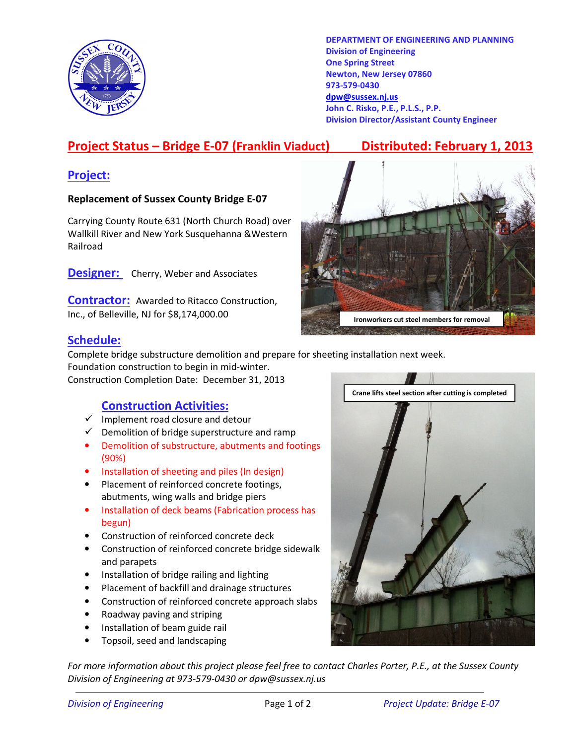

DEPARTMENT OF ENGINEERING AND PLANNING Division of Engineering One Spring Street Newton, New Jersey 07860 973-579-0430 dpw@sussex.nj.us John C. Risko, P.E., P.L.S., P.P. Division Director/Assistant County Engineer

# Project Status – Bridge E-07 (Franklin Viaduct) Distributed: February 1, 2013

### Project:

#### Replacement of Sussex County Bridge E-07

Carrying County Route 631 (North Church Road) over Wallkill River and New York Susquehanna &Western Railroad

**Designer:** Cherry, Weber and Associates

**Contractor:** Awarded to Ritacco Construction, Inc., of Belleville, NJ for \$8,174,000.00



### Schedule:

Complete bridge substructure demolition and prepare for sheeting installation next week. Foundation construction to begin in mid-winter.

Construction Completion Date: December 31, 2013

#### Construction Activities:

- $\checkmark$  Implement road closure and detour
- $\checkmark$  Demolition of bridge superstructure and ramp
- Demolition of substructure, abutments and footings (90%)
- Installation of sheeting and piles (In design)
- Placement of reinforced concrete footings, abutments, wing walls and bridge piers
- Installation of deck beams (Fabrication process has begun)
- Construction of reinforced concrete deck
- Construction of reinforced concrete bridge sidewalk and parapets
- Installation of bridge railing and lighting
- Placement of backfill and drainage structures
- Construction of reinforced concrete approach slabs
- Roadway paving and striping
- Installation of beam guide rail
- Topsoil, seed and landscaping

For more information about this project please feel free to contact Charles Porter, P.E., at the Sussex County Division of Engineering at 973-579-0430 or dpw@sussex.nj.us